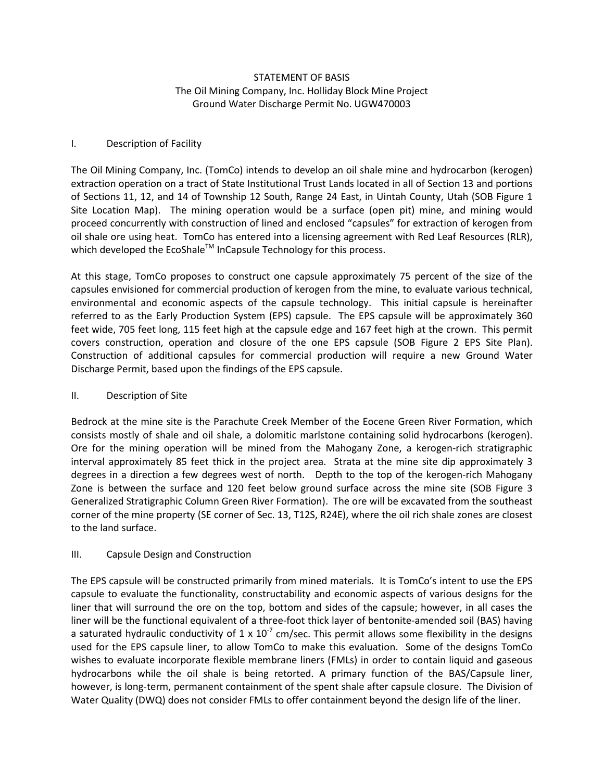# STATEMENT OF BASIS The Oil Mining Company, Inc. Holliday Block Mine Project Ground Water Discharge Permit No. UGW470003

# I. Description of Facility

The Oil Mining Company, Inc. (TomCo) intends to develop an oil shale mine and hydrocarbon (kerogen) extraction operation on a tract of State Institutional Trust Lands located in all of Section 13 and portions of Sections 11, 12, and 14 of Township 12 South, Range 24 East, in Uintah County, Utah (SOB Figure 1 Site Location Map). The mining operation would be a surface (open pit) mine, and mining would proceed concurrently with construction of lined and enclosed "capsules" for extraction of kerogen from oil shale ore using heat. TomCo has entered into a licensing agreement with Red Leaf Resources (RLR), which developed the EcoShale™ InCapsule Technology for this process.

At this stage, TomCo proposes to construct one capsule approximately 75 percent of the size of the capsules envisioned for commercial production of kerogen from the mine, to evaluate various technical, environmental and economic aspects of the capsule technology. This initial capsule is hereinafter referred to as the Early Production System (EPS) capsule. The EPS capsule will be approximately 360 feet wide, 705 feet long, 115 feet high at the capsule edge and 167 feet high at the crown. This permit covers construction, operation and closure of the one EPS capsule (SOB Figure 2 EPS Site Plan). Construction of additional capsules for commercial production will require a new Ground Water Discharge Permit, based upon the findings of the EPS capsule.

### II. Description of Site

Bedrock at the mine site is the Parachute Creek Member of the Eocene Green River Formation, which consists mostly of shale and oil shale, a dolomitic marlstone containing solid hydrocarbons (kerogen). Ore for the mining operation will be mined from the Mahogany Zone, a kerogen-rich stratigraphic interval approximately 85 feet thick in the project area. Strata at the mine site dip approximately 3 degrees in a direction a few degrees west of north. Depth to the top of the kerogen-rich Mahogany Zone is between the surface and 120 feet below ground surface across the mine site (SOB Figure 3 Generalized Stratigraphic Column Green River Formation). The ore will be excavated from the southeast corner of the mine property (SE corner of Sec. 13, T12S, R24E), where the oil rich shale zones are closest to the land surface.

### III. Capsule Design and Construction

The EPS capsule will be constructed primarily from mined materials. It is TomCo's intent to use the EPS capsule to evaluate the functionality, constructability and economic aspects of various designs for the liner that will surround the ore on the top, bottom and sides of the capsule; however, in all cases the liner will be the functional equivalent of a three-foot thick layer of bentonite-amended soil (BAS) having a saturated hydraulic conductivity of 1 x  $10^{-7}$  cm/sec. This permit allows some flexibility in the designs used for the EPS capsule liner, to allow TomCo to make this evaluation. Some of the designs TomCo wishes to evaluate incorporate flexible membrane liners (FMLs) in order to contain liquid and gaseous hydrocarbons while the oil shale is being retorted. A primary function of the BAS/Capsule liner, however, is long-term, permanent containment of the spent shale after capsule closure. The Division of Water Quality (DWQ) does not consider FMLs to offer containment beyond the design life of the liner.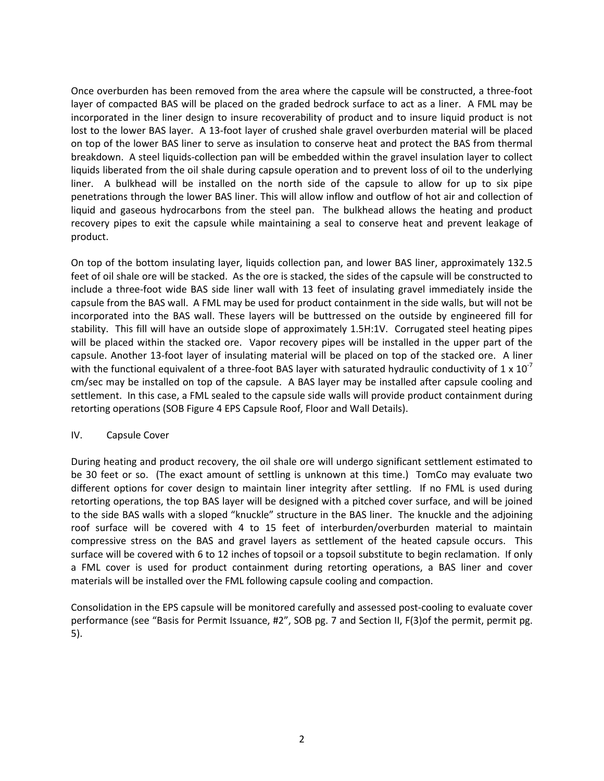Once overburden has been removed from the area where the capsule will be constructed, a three-foot layer of compacted BAS will be placed on the graded bedrock surface to act as a liner. A FML may be incorporated in the liner design to insure recoverability of product and to insure liquid product is not lost to the lower BAS layer. A 13-foot layer of crushed shale gravel overburden material will be placed on top of the lower BAS liner to serve as insulation to conserve heat and protect the BAS from thermal breakdown. A steel liquids-collection pan will be embedded within the gravel insulation layer to collect liquids liberated from the oil shale during capsule operation and to prevent loss of oil to the underlying liner. A bulkhead will be installed on the north side of the capsule to allow for up to six pipe penetrations through the lower BAS liner. This will allow inflow and outflow of hot air and collection of liquid and gaseous hydrocarbons from the steel pan. The bulkhead allows the heating and product recovery pipes to exit the capsule while maintaining a seal to conserve heat and prevent leakage of product.

On top of the bottom insulating layer, liquids collection pan, and lower BAS liner, approximately 132.5 feet of oil shale ore will be stacked. As the ore is stacked, the sides of the capsule will be constructed to include a three-foot wide BAS side liner wall with 13 feet of insulating gravel immediately inside the capsule from the BAS wall. A FML may be used for product containment in the side walls, but will not be incorporated into the BAS wall. These layers will be buttressed on the outside by engineered fill for stability. This fill will have an outside slope of approximately 1.5H:1V. Corrugated steel heating pipes will be placed within the stacked ore. Vapor recovery pipes will be installed in the upper part of the capsule. Another 13-foot layer of insulating material will be placed on top of the stacked ore. A liner with the functional equivalent of a three-foot BAS layer with saturated hydraulic conductivity of 1 x  $10^{-7}$ cm/sec may be installed on top of the capsule. A BAS layer may be installed after capsule cooling and settlement. In this case, a FML sealed to the capsule side walls will provide product containment during retorting operations (SOB Figure 4 EPS Capsule Roof, Floor and Wall Details).

### IV. Capsule Cover

During heating and product recovery, the oil shale ore will undergo significant settlement estimated to be 30 feet or so. (The exact amount of settling is unknown at this time.) TomCo may evaluate two different options for cover design to maintain liner integrity after settling. If no FML is used during retorting operations, the top BAS layer will be designed with a pitched cover surface, and will be joined to the side BAS walls with a sloped "knuckle" structure in the BAS liner. The knuckle and the adjoining roof surface will be covered with 4 to 15 feet of interburden/overburden material to maintain compressive stress on the BAS and gravel layers as settlement of the heated capsule occurs. This surface will be covered with 6 to 12 inches of topsoil or a topsoil substitute to begin reclamation. If only a FML cover is used for product containment during retorting operations, a BAS liner and cover materials will be installed over the FML following capsule cooling and compaction.

Consolidation in the EPS capsule will be monitored carefully and assessed post-cooling to evaluate cover performance (see "Basis for Permit Issuance, #2", SOB pg. 7 and Section II, F(3)of the permit, permit pg. 5).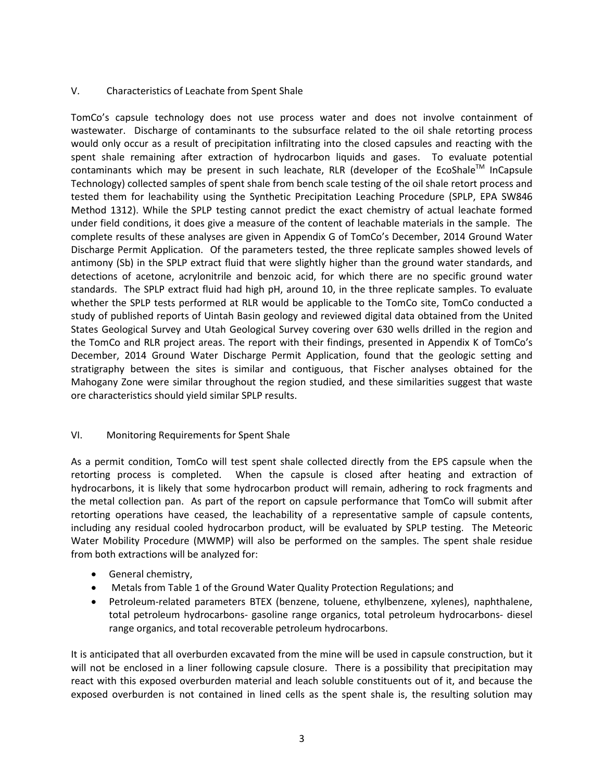# V. Characteristics of Leachate from Spent Shale

TomCo's capsule technology does not use process water and does not involve containment of wastewater. Discharge of contaminants to the subsurface related to the oil shale retorting process would only occur as a result of precipitation infiltrating into the closed capsules and reacting with the spent shale remaining after extraction of hydrocarbon liquids and gases. To evaluate potential contaminants which may be present in such leachate, RLR (developer of the EcoShale<sup>TM</sup> InCapsule Technology) collected samples of spent shale from bench scale testing of the oil shale retort process and tested them for leachability using the Synthetic Precipitation Leaching Procedure (SPLP, EPA SW846 Method 1312). While the SPLP testing cannot predict the exact chemistry of actual leachate formed under field conditions, it does give a measure of the content of leachable materials in the sample. The complete results of these analyses are given in Appendix G of TomCo's December, 2014 Ground Water Discharge Permit Application. Of the parameters tested, the three replicate samples showed levels of antimony (Sb) in the SPLP extract fluid that were slightly higher than the ground water standards, and detections of acetone, acrylonitrile and benzoic acid, for which there are no specific ground water standards. The SPLP extract fluid had high pH, around 10, in the three replicate samples. To evaluate whether the SPLP tests performed at RLR would be applicable to the TomCo site, TomCo conducted a study of published reports of Uintah Basin geology and reviewed digital data obtained from the United States Geological Survey and Utah Geological Survey covering over 630 wells drilled in the region and the TomCo and RLR project areas. The report with their findings, presented in Appendix K of TomCo's December, 2014 Ground Water Discharge Permit Application, found that the geologic setting and stratigraphy between the sites is similar and contiguous, that Fischer analyses obtained for the Mahogany Zone were similar throughout the region studied, and these similarities suggest that waste ore characteristics should yield similar SPLP results.

# VI. Monitoring Requirements for Spent Shale

As a permit condition, TomCo will test spent shale collected directly from the EPS capsule when the retorting process is completed. When the capsule is closed after heating and extraction of hydrocarbons, it is likely that some hydrocarbon product will remain, adhering to rock fragments and the metal collection pan. As part of the report on capsule performance that TomCo will submit after retorting operations have ceased, the leachability of a representative sample of capsule contents, including any residual cooled hydrocarbon product, will be evaluated by SPLP testing. The Meteoric Water Mobility Procedure (MWMP) will also be performed on the samples. The spent shale residue from both extractions will be analyzed for:

- General chemistry,
- Metals from Table 1 of the Ground Water Quality Protection Regulations; and
- Petroleum-related parameters BTEX (benzene, toluene, ethylbenzene, xylenes), naphthalene, total petroleum hydrocarbons- gasoline range organics, total petroleum hydrocarbons- diesel range organics, and total recoverable petroleum hydrocarbons.

It is anticipated that all overburden excavated from the mine will be used in capsule construction, but it will not be enclosed in a liner following capsule closure. There is a possibility that precipitation may react with this exposed overburden material and leach soluble constituents out of it, and because the exposed overburden is not contained in lined cells as the spent shale is, the resulting solution may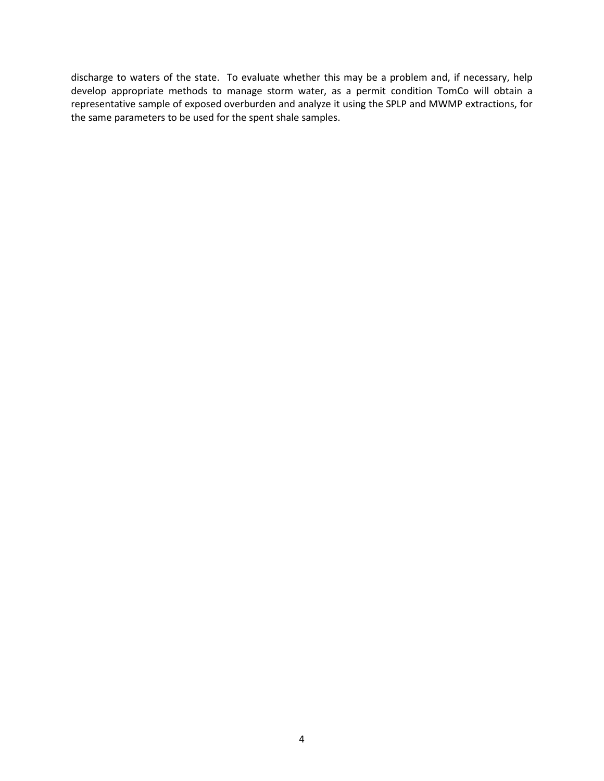discharge to waters of the state. To evaluate whether this may be a problem and, if necessary, help develop appropriate methods to manage storm water, as a permit condition TomCo will obtain a representative sample of exposed overburden and analyze it using the SPLP and MWMP extractions, for the same parameters to be used for the spent shale samples.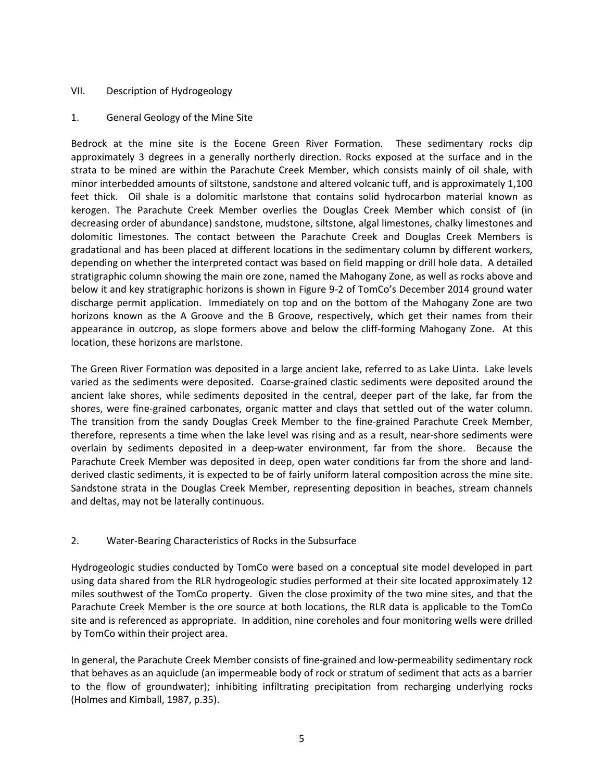# VII. Description of Hydrogeology

# 1. General Geology of the Mine Site

Bedrock at the mine site is the Eocene Green River Formation. These sedimentary rocks dip approximately 3 degrees in a generally northerly direction. Rocks exposed at the surface and in the strata to be mined are within the Parachute Creek Member, which consists mainly of oil shale, with minor interbedded amounts of siltstone, sandstone and altered volcanic tuff, and is approximately 1,100 feet thick. Oil shale is a dolomitic marlstone that contains solid hydrocarbon material known as kerogen. The Parachute Creek Member overlies the Douglas Creek Member which consist of (in decreasing order of abundance) sandstone, mudstone, siltstone, algal limestones, chalky limestones and dolomitic limestones. The contact between the Parachute Creek and Douglas Creek Members is gradational and has been placed at different locations in the sedimentary column by different workers, depending on whether the interpreted contact was based on field mapping or drill hole data. A detailed stratigraphic column showing the main ore zone, named the Mahogany Zone, as well as rocks above and below it and key stratigraphic horizons is shown in Figure 9-2 of TomCo's December 2014 ground water discharge permit application. Immediately on top and on the bottom of the Mahogany Zone are two horizons known as the A Groove and the B Groove, respectively, which get their names from their appearance in outcrop, as slope formers above and below the cliff-forming Mahogany Zone. At this location, these horizons are marlstone.

The Green River Formation was deposited in a large ancient lake, referred to as Lake Uinta. Lake levels varied as the sediments were deposited. Coarse-grained clastic sediments were deposited around the ancient lake shores, while sediments deposited in the central, deeper part of the lake, far from the shores, were fine-grained carbonates, organic matter and clays that settled out of the water column. The transition from the sandy Douglas Creek Member to the fine-grained Parachute Creek Member, therefore, represents a time when the lake level was rising and as a result, near-shore sediments were overlain by sediments deposited in a deep-water environment, far from the shore. Because the Parachute Creek Member was deposited in deep, open water conditions far from the shore and landderived clastic sediments, it is expected to be of fairly uniform lateral composition across the mine site. Sandstone strata in the Douglas Creek Member, representing deposition in beaches, stream channels and deltas, may not be laterally continuous.

# 2. Water-Bearing Characteristics of Rocks in the Subsurface

Hydrogeologic studies conducted by TomCo were based on a conceptual site model developed in part using data shared from the RLR hydrogeologic studies performed at their site located approximately 12 miles southwest of the TomCo property. Given the close proximity of the two mine sites, and that the Parachute Creek Member is the ore source at both locations, the RLR data is applicable to the TomCo site and is referenced as appropriate. In addition, nine coreholes and four monitoring wells were drilled by TomCo within their project area.

In general, the Parachute Creek Member consists of fine-grained and low-permeability sedimentary rock that behaves as an aquiclude (an impermeable body of rock or stratum of sediment that acts as a barrier to the flow of groundwater); inhibiting infiltrating precipitation from recharging underlying rocks (Holmes and Kimball, 1987, p.35).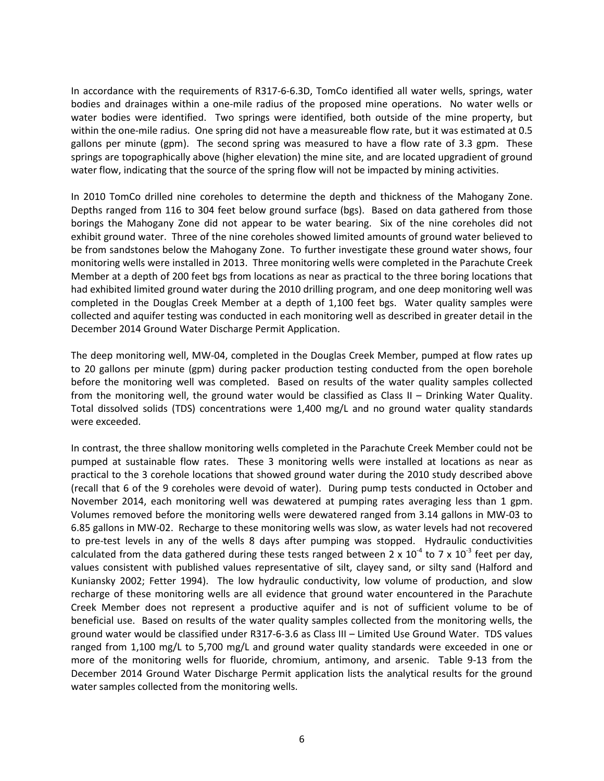In accordance with the requirements of R317-6-6.3D, TomCo identified all water wells, springs, water bodies and drainages within a one-mile radius of the proposed mine operations. No water wells or water bodies were identified. Two springs were identified, both outside of the mine property, but within the one-mile radius. One spring did not have a measureable flow rate, but it was estimated at 0.5 gallons per minute (gpm). The second spring was measured to have a flow rate of 3.3 gpm. These springs are topographically above (higher elevation) the mine site, and are located upgradient of ground water flow, indicating that the source of the spring flow will not be impacted by mining activities.

In 2010 TomCo drilled nine coreholes to determine the depth and thickness of the Mahogany Zone. Depths ranged from 116 to 304 feet below ground surface (bgs). Based on data gathered from those borings the Mahogany Zone did not appear to be water bearing. Six of the nine coreholes did not exhibit ground water. Three of the nine coreholes showed limited amounts of ground water believed to be from sandstones below the Mahogany Zone. To further investigate these ground water shows, four monitoring wells were installed in 2013. Three monitoring wells were completed in the Parachute Creek Member at a depth of 200 feet bgs from locations as near as practical to the three boring locations that had exhibited limited ground water during the 2010 drilling program, and one deep monitoring well was completed in the Douglas Creek Member at a depth of 1,100 feet bgs. Water quality samples were collected and aquifer testing was conducted in each monitoring well as described in greater detail in the December 2014 Ground Water Discharge Permit Application.

The deep monitoring well, MW-04, completed in the Douglas Creek Member, pumped at flow rates up to 20 gallons per minute (gpm) during packer production testing conducted from the open borehole before the monitoring well was completed. Based on results of the water quality samples collected from the monitoring well, the ground water would be classified as Class II – Drinking Water Quality. Total dissolved solids (TDS) concentrations were 1,400 mg/L and no ground water quality standards were exceeded.

In contrast, the three shallow monitoring wells completed in the Parachute Creek Member could not be pumped at sustainable flow rates. These 3 monitoring wells were installed at locations as near as practical to the 3 corehole locations that showed ground water during the 2010 study described above (recall that 6 of the 9 coreholes were devoid of water). During pump tests conducted in October and November 2014, each monitoring well was dewatered at pumping rates averaging less than 1 gpm. Volumes removed before the monitoring wells were dewatered ranged from 3.14 gallons in MW-03 to 6.85 gallons in MW-02. Recharge to these monitoring wells was slow, as water levels had not recovered to pre-test levels in any of the wells 8 days after pumping was stopped. Hydraulic conductivities calculated from the data gathered during these tests ranged between 2 x 10<sup>-4</sup> to 7 x 10<sup>-3</sup> feet per day, values consistent with published values representative of silt, clayey sand, or silty sand (Halford and Kuniansky 2002; Fetter 1994). The low hydraulic conductivity, low volume of production, and slow recharge of these monitoring wells are all evidence that ground water encountered in the Parachute Creek Member does not represent a productive aquifer and is not of sufficient volume to be of beneficial use. Based on results of the water quality samples collected from the monitoring wells, the ground water would be classified under R317-6-3.6 as Class III – Limited Use Ground Water. TDS values ranged from 1,100 mg/L to 5,700 mg/L and ground water quality standards were exceeded in one or more of the monitoring wells for fluoride, chromium, antimony, and arsenic. Table 9-13 from the December 2014 Ground Water Discharge Permit application lists the analytical results for the ground water samples collected from the monitoring wells.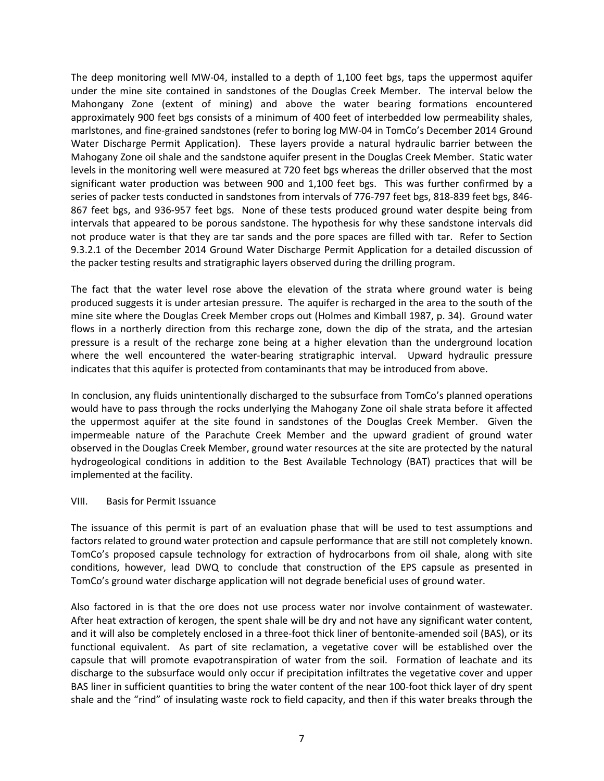The deep monitoring well MW-04, installed to a depth of 1,100 feet bgs, taps the uppermost aquifer under the mine site contained in sandstones of the Douglas Creek Member. The interval below the Mahongany Zone (extent of mining) and above the water bearing formations encountered approximately 900 feet bgs consists of a minimum of 400 feet of interbedded low permeability shales, marlstones, and fine-grained sandstones (refer to boring log MW-04 in TomCo's December 2014 Ground Water Discharge Permit Application). These layers provide a natural hydraulic barrier between the Mahogany Zone oil shale and the sandstone aquifer present in the Douglas Creek Member. Static water levels in the monitoring well were measured at 720 feet bgs whereas the driller observed that the most significant water production was between 900 and 1,100 feet bgs. This was further confirmed by a series of packer tests conducted in sandstones from intervals of 776-797 feet bgs, 818-839 feet bgs, 846- 867 feet bgs, and 936-957 feet bgs. None of these tests produced ground water despite being from intervals that appeared to be porous sandstone. The hypothesis for why these sandstone intervals did not produce water is that they are tar sands and the pore spaces are filled with tar. Refer to Section 9.3.2.1 of the December 2014 Ground Water Discharge Permit Application for a detailed discussion of the packer testing results and stratigraphic layers observed during the drilling program.

The fact that the water level rose above the elevation of the strata where ground water is being produced suggests it is under artesian pressure. The aquifer is recharged in the area to the south of the mine site where the Douglas Creek Member crops out (Holmes and Kimball 1987, p. 34). Ground water flows in a northerly direction from this recharge zone, down the dip of the strata, and the artesian pressure is a result of the recharge zone being at a higher elevation than the underground location where the well encountered the water-bearing stratigraphic interval. Upward hydraulic pressure indicates that this aquifer is protected from contaminants that may be introduced from above.

In conclusion, any fluids unintentionally discharged to the subsurface from TomCo's planned operations would have to pass through the rocks underlying the Mahogany Zone oil shale strata before it affected the uppermost aquifer at the site found in sandstones of the Douglas Creek Member. Given the impermeable nature of the Parachute Creek Member and the upward gradient of ground water observed in the Douglas Creek Member, ground water resources at the site are protected by the natural hydrogeological conditions in addition to the Best Available Technology (BAT) practices that will be implemented at the facility.

### VIII. Basis for Permit Issuance

The issuance of this permit is part of an evaluation phase that will be used to test assumptions and factors related to ground water protection and capsule performance that are still not completely known. TomCo's proposed capsule technology for extraction of hydrocarbons from oil shale, along with site conditions, however, lead DWQ to conclude that construction of the EPS capsule as presented in TomCo's ground water discharge application will not degrade beneficial uses of ground water.

Also factored in is that the ore does not use process water nor involve containment of wastewater. After heat extraction of kerogen, the spent shale will be dry and not have any significant water content, and it will also be completely enclosed in a three-foot thick liner of bentonite-amended soil (BAS), or its functional equivalent. As part of site reclamation, a vegetative cover will be established over the capsule that will promote evapotranspiration of water from the soil. Formation of leachate and its discharge to the subsurface would only occur if precipitation infiltrates the vegetative cover and upper BAS liner in sufficient quantities to bring the water content of the near 100-foot thick layer of dry spent shale and the "rind" of insulating waste rock to field capacity, and then if this water breaks through the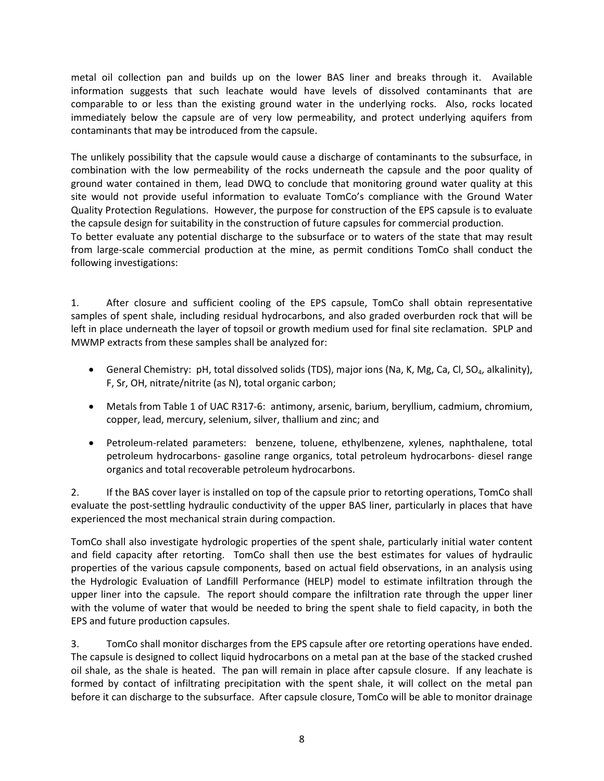metal oil collection pan and builds up on the lower BAS liner and breaks through it. Available information suggests that such leachate would have levels of dissolved contaminants that are comparable to or less than the existing ground water in the underlying rocks. Also, rocks located immediately below the capsule are of very low permeability, and protect underlying aquifers from contaminants that may be introduced from the capsule.

The unlikely possibility that the capsule would cause a discharge of contaminants to the subsurface, in combination with the low permeability of the rocks underneath the capsule and the poor quality of ground water contained in them, lead DWQ to conclude that monitoring ground water quality at this site would not provide useful information to evaluate TomCo's compliance with the Ground Water Quality Protection Regulations. However, the purpose for construction of the EPS capsule is to evaluate the capsule design for suitability in the construction of future capsules for commercial production. To better evaluate any potential discharge to the subsurface or to waters of the state that may result

from large-scale commercial production at the mine, as permit conditions TomCo shall conduct the following investigations:

1. After closure and sufficient cooling of the EPS capsule, TomCo shall obtain representative samples of spent shale, including residual hydrocarbons, and also graded overburden rock that will be left in place underneath the layer of topsoil or growth medium used for final site reclamation. SPLP and MWMP extracts from these samples shall be analyzed for:

- General Chemistry: pH, total dissolved solids (TDS), major ions (Na, K, Mg, Ca, Cl, SO<sub>4</sub>, alkalinity), F, Sr, OH, nitrate/nitrite (as N), total organic carbon;
- Metals from Table 1 of UAC R317-6: antimony, arsenic, barium, beryllium, cadmium, chromium, copper, lead, mercury, selenium, silver, thallium and zinc; and
- Petroleum-related parameters: benzene, toluene, ethylbenzene, xylenes, naphthalene, total petroleum hydrocarbons- gasoline range organics, total petroleum hydrocarbons- diesel range organics and total recoverable petroleum hydrocarbons.

2. If the BAS cover layer is installed on top of the capsule prior to retorting operations, TomCo shall evaluate the post-settling hydraulic conductivity of the upper BAS liner, particularly in places that have experienced the most mechanical strain during compaction.

TomCo shall also investigate hydrologic properties of the spent shale, particularly initial water content and field capacity after retorting. TomCo shall then use the best estimates for values of hydraulic properties of the various capsule components, based on actual field observations, in an analysis using the Hydrologic Evaluation of Landfill Performance (HELP) model to estimate infiltration through the upper liner into the capsule. The report should compare the infiltration rate through the upper liner with the volume of water that would be needed to bring the spent shale to field capacity, in both the EPS and future production capsules.

3. TomCo shall monitor discharges from the EPS capsule after ore retorting operations have ended. The capsule is designed to collect liquid hydrocarbons on a metal pan at the base of the stacked crushed oil shale, as the shale is heated. The pan will remain in place after capsule closure. If any leachate is formed by contact of infiltrating precipitation with the spent shale, it will collect on the metal pan before it can discharge to the subsurface. After capsule closure, TomCo will be able to monitor drainage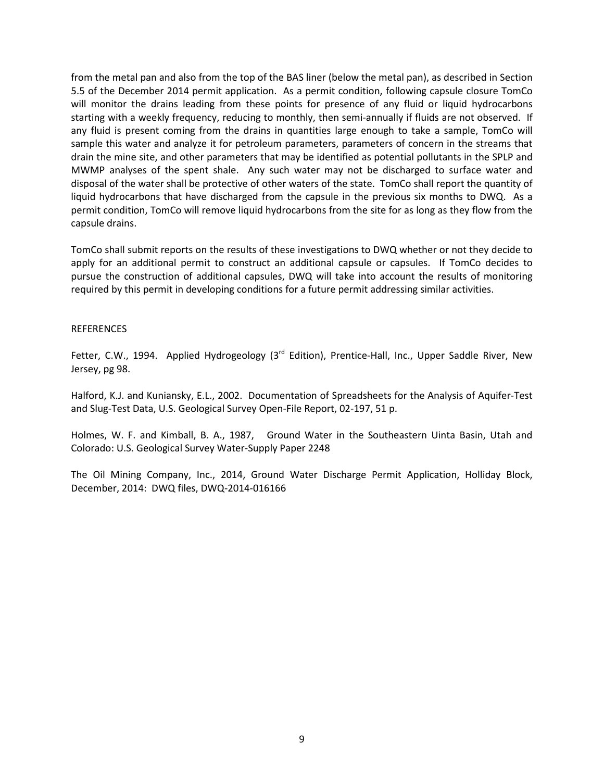from the metal pan and also from the top of the BAS liner (below the metal pan), as described in Section 5.5 of the December 2014 permit application. As a permit condition, following capsule closure TomCo will monitor the drains leading from these points for presence of any fluid or liquid hydrocarbons starting with a weekly frequency, reducing to monthly, then semi-annually if fluids are not observed. If any fluid is present coming from the drains in quantities large enough to take a sample, TomCo will sample this water and analyze it for petroleum parameters, parameters of concern in the streams that drain the mine site, and other parameters that may be identified as potential pollutants in the SPLP and MWMP analyses of the spent shale. Any such water may not be discharged to surface water and disposal of the water shall be protective of other waters of the state. TomCo shall report the quantity of liquid hydrocarbons that have discharged from the capsule in the previous six months to DWQ. As a permit condition, TomCo will remove liquid hydrocarbons from the site for as long as they flow from the capsule drains.

TomCo shall submit reports on the results of these investigations to DWQ whether or not they decide to apply for an additional permit to construct an additional capsule or capsules. If TomCo decides to pursue the construction of additional capsules, DWQ will take into account the results of monitoring required by this permit in developing conditions for a future permit addressing similar activities.

#### REFERENCES

Fetter, C.W., 1994. Applied Hydrogeology (3<sup>rd</sup> Edition), Prentice-Hall, Inc., Upper Saddle River, New Jersey, pg 98.

Halford, K.J. and Kuniansky, E.L., 2002. Documentation of Spreadsheets for the Analysis of Aquifer-Test and Slug-Test Data, U.S. Geological Survey Open-File Report, 02-197, 51 p.

Holmes, W. F. and Kimball, B. A., 1987, Ground Water in the Southeastern Uinta Basin, Utah and Colorado: U.S. Geological Survey Water-Supply Paper 2248

The Oil Mining Company, Inc., 2014, Ground Water Discharge Permit Application, Holliday Block, December, 2014: DWQ files, DWQ-2014-016166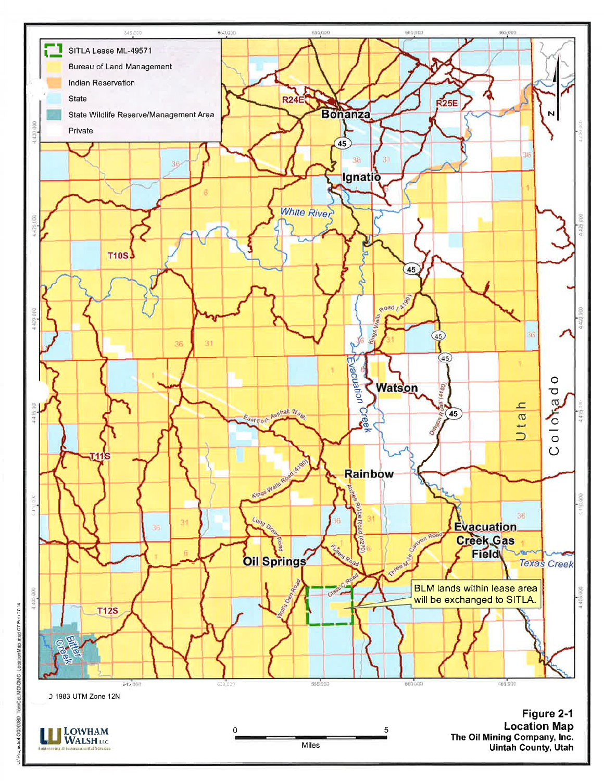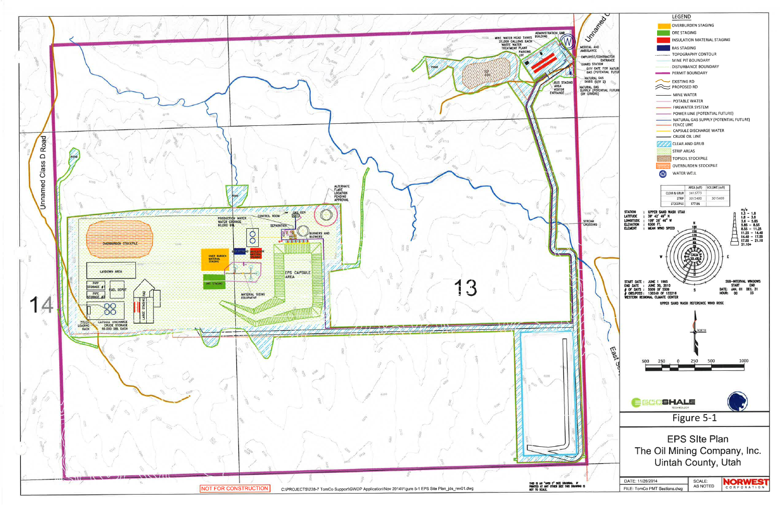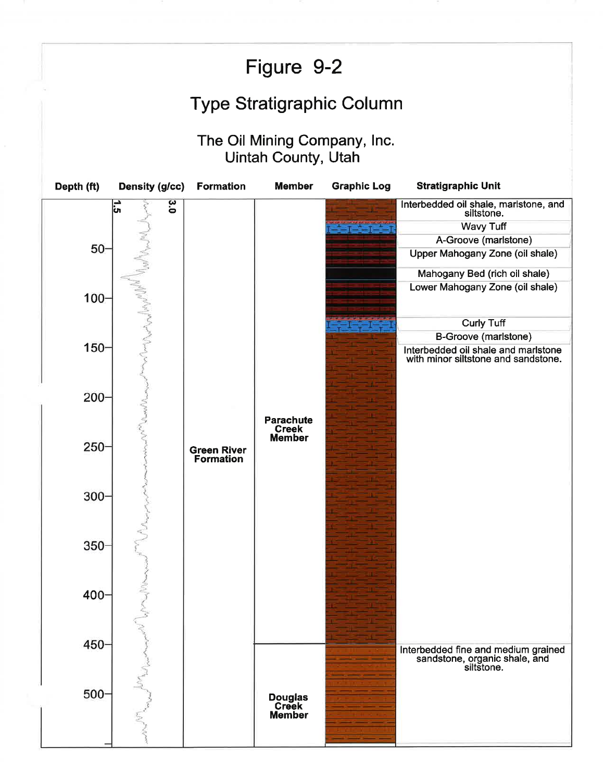